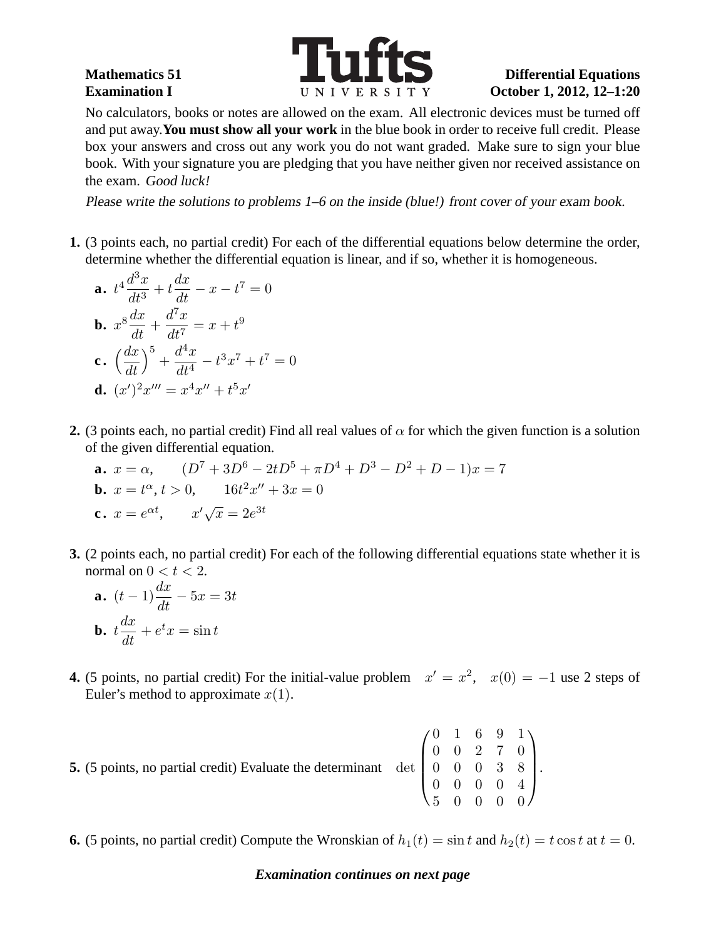

.

No calculators, books or notes are allowed on the exam. All electronic devices must be turned off and put away.**You must show all your work** in the blue book in order to receive full credit. Please box your answers and cross out any work you do not want graded. Make sure to sign your blue book. With your signature you are pledging that you have neither given nor received assistance on the exam. Good luck!

Please write the solutions to problems 1–6 on the inside (blue!) front cover of your exam book.

**1.** (3 points each, no partial credit) For each of the differential equations below determine the order, determine whether the differential equation is linear, and if so, whether it is homogeneous.

**a.** 
$$
t^4 \frac{d^3x}{dt^3} + t \frac{dx}{dt} - x - t^7 = 0
$$
  
\n**b.**  $x^8 \frac{dx}{dt} + \frac{d^7x}{dt^7} = x + t^9$   
\n**c.**  $\left(\frac{dx}{dt}\right)^5 + \frac{d^4x}{dt^4} - t^3x^7 + t^7 =$   
\n**d.**  $(x')^2x''' = x^4x'' + t^5x'$ 

**2.** (3 points each, no partial credit) Find all real values of  $\alpha$  for which the given function is a solution of the given differential equation.

**a.** 
$$
x = \alpha
$$
,  $(D^7 + 3D^6 - 2tD^5 + \pi D^4 + D^3 - D^2 + D - 1)x = 7$   
\n**b.**  $x = t^{\alpha}$ ,  $t > 0$ ,  $16t^2x'' + 3x = 0$   
\n**c.**  $x = e^{\alpha t}$ ,  $x'\sqrt{x} = 2e^{3t}$ 

 $\overline{0}$ 

**3.** (2 points each, no partial credit) For each of the following differential equations state whether it is normal on  $0 < t < 2$ .

**a.** 
$$
(t-1)\frac{dx}{dt} - 5x = 3t
$$
  
\n**b.**  $t\frac{dx}{dt} + e^t x = \sin t$ 

**4.** (5 points, no partial credit) For the initial-value problem  $x' = x^2$ ,  $x(0) = -1$  use 2 steps of Euler's method to approximate  $x(1)$ .

| <b>5.</b> (5 points, no partial credit) Evaluate the determinant det $\begin{pmatrix} 0 & 1 & 6 & 9 & 1 \\ 0 & 0 & 2 & 7 & 0 \\ 0 & 0 & 0 & 3 & 8 \\ 5 & 0 & 0 & 0 & 0 \end{pmatrix}$ |  |  |  |  |
|---------------------------------------------------------------------------------------------------------------------------------------------------------------------------------------|--|--|--|--|
|                                                                                                                                                                                       |  |  |  |  |
|                                                                                                                                                                                       |  |  |  |  |
|                                                                                                                                                                                       |  |  |  |  |

**6.** (5 points, no partial credit) Compute the Wronskian of  $h_1(t) = \sin t$  and  $h_2(t) = t \cos t$  at  $t = 0$ .

## *Examination continues on next page*